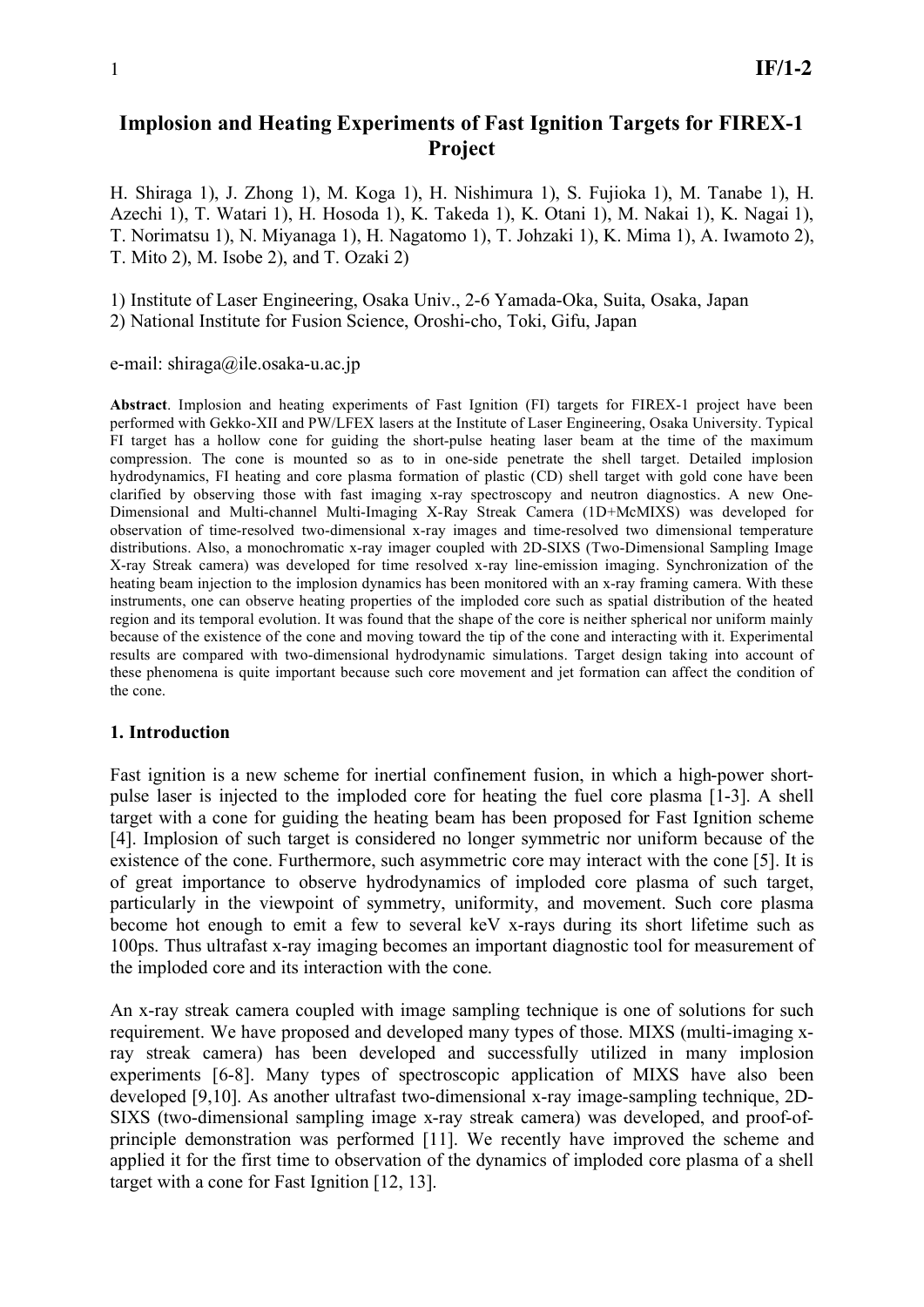# **Implosion and Heating Experiments of Fast Ignition Targets for FIREX-1 Project**

H. Shiraga 1), J. Zhong 1), M. Koga 1), H. Nishimura 1), S. Fujioka 1), M. Tanabe 1), H. Azechi 1), T. Watari 1), H. Hosoda 1), K. Takeda 1), K. Otani 1), M. Nakai 1), K. Nagai 1), T. Norimatsu 1), N. Miyanaga 1), H. Nagatomo 1), T. Johzaki 1), K. Mima 1), A. Iwamoto 2), T. Mito 2), M. Isobe 2), and T. Ozaki 2)

1) Institute of Laser Engineering, Osaka Univ., 2-6 Yamada-Oka, Suita, Osaka, Japan

2) National Institute for Fusion Science, Oroshi-cho, Toki, Gifu, Japan

e-mail: shiraga@ile.osaka-u.ac.jp

**Abstract**. Implosion and heating experiments of Fast Ignition (FI) targets for FIREX-1 project have been performed with Gekko-XII and PW/LFEX lasers at the Institute of Laser Engineering, Osaka University. Typical FI target has a hollow cone for guiding the short-pulse heating laser beam at the time of the maximum compression. The cone is mounted so as to in one-side penetrate the shell target. Detailed implosion hydrodynamics, FI heating and core plasma formation of plastic (CD) shell target with gold cone have been clarified by observing those with fast imaging x-ray spectroscopy and neutron diagnostics. A new One-Dimensional and Multi-channel Multi-Imaging X-Ray Streak Camera (1D+McMIXS) was developed for observation of time-resolved two-dimensional x-ray images and time-resolved two dimensional temperature distributions. Also, a monochromatic x-ray imager coupled with 2D-SIXS (Two-Dimensional Sampling Image X-ray Streak camera) was developed for time resolved x-ray line-emission imaging. Synchronization of the heating beam injection to the implosion dynamics has been monitored with an x-ray framing camera. With these instruments, one can observe heating properties of the imploded core such as spatial distribution of the heated region and its temporal evolution. It was found that the shape of the core is neither spherical nor uniform mainly because of the existence of the cone and moving toward the tip of the cone and interacting with it. Experimental results are compared with two-dimensional hydrodynamic simulations. Target design taking into account of these phenomena is quite important because such core movement and jet formation can affect the condition of the cone.

### **1. Introduction**

Fast ignition is a new scheme for inertial confinement fusion, in which a high-power shortpulse laser is injected to the imploded core for heating the fuel core plasma [1-3]. A shell target with a cone for guiding the heating beam has been proposed for Fast Ignition scheme [4]. Implosion of such target is considered no longer symmetric nor uniform because of the existence of the cone. Furthermore, such asymmetric core may interact with the cone [5]. It is of great importance to observe hydrodynamics of imploded core plasma of such target, particularly in the viewpoint of symmetry, uniformity, and movement. Such core plasma become hot enough to emit a few to several keV x-rays during its short lifetime such as 100ps. Thus ultrafast x-ray imaging becomes an important diagnostic tool for measurement of the imploded core and its interaction with the cone.

An x-ray streak camera coupled with image sampling technique is one of solutions for such requirement. We have proposed and developed many types of those. MIXS (multi-imaging xray streak camera) has been developed and successfully utilized in many implosion experiments [6-8]. Many types of spectroscopic application of MIXS have also been developed [9,10]. As another ultrafast two-dimensional x-ray image-sampling technique, 2D-SIXS (two-dimensional sampling image x-ray streak camera) was developed, and proof-ofprinciple demonstration was performed [11]. We recently have improved the scheme and applied it for the first time to observation of the dynamics of imploded core plasma of a shell target with a cone for Fast Ignition [12, 13].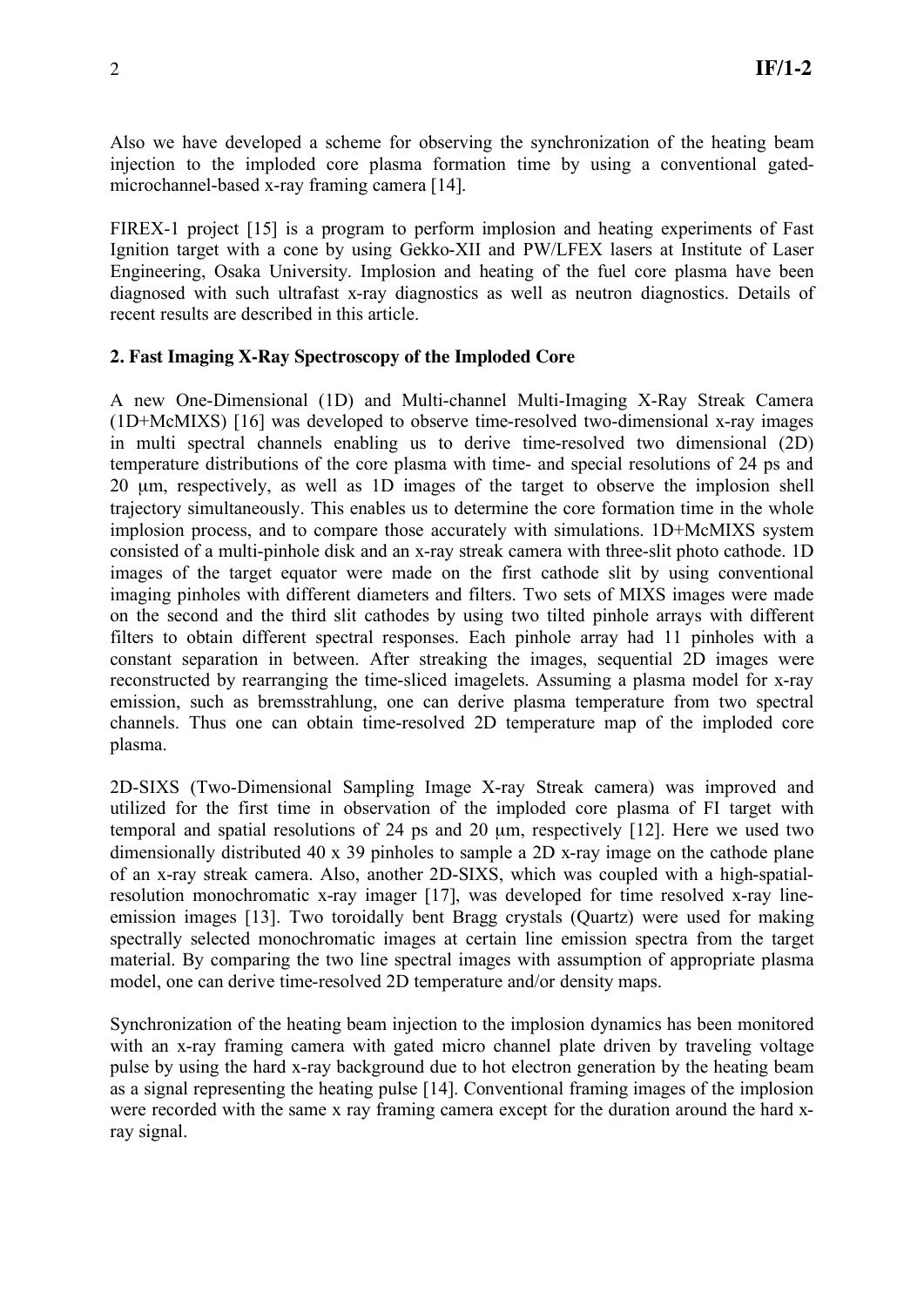Also we have developed a scheme for observing the synchronization of the heating beam injection to the imploded core plasma formation time by using a conventional gatedmicrochannel-based x-ray framing camera [14].

FIREX-1 project [15] is a program to perform implosion and heating experiments of Fast Ignition target with a cone by using Gekko-XII and PW/LFEX lasers at Institute of Laser Engineering, Osaka University. Implosion and heating of the fuel core plasma have been diagnosed with such ultrafast x-ray diagnostics as well as neutron diagnostics. Details of recent results are described in this article.

### **2. Fast Imaging X-Ray Spectroscopy of the Imploded Core**

A new One-Dimensional (1D) and Multi-channel Multi-Imaging X-Ray Streak Camera (1D+McMIXS) [16] was developed to observe time-resolved two-dimensional x-ray images in multi spectral channels enabling us to derive time-resolved two dimensional (2D) temperature distributions of the core plasma with time- and special resolutions of 24 ps and 20 µm, respectively, as well as 1D images of the target to observe the implosion shell trajectory simultaneously. This enables us to determine the core formation time in the whole implosion process, and to compare those accurately with simulations. 1D+McMIXS system consisted of a multi-pinhole disk and an x-ray streak camera with three-slit photo cathode. 1D images of the target equator were made on the first cathode slit by using conventional imaging pinholes with different diameters and filters. Two sets of MIXS images were made on the second and the third slit cathodes by using two tilted pinhole arrays with different filters to obtain different spectral responses. Each pinhole array had 11 pinholes with a constant separation in between. After streaking the images, sequential 2D images were reconstructed by rearranging the time-sliced imagelets. Assuming a plasma model for x-ray emission, such as bremsstrahlung, one can derive plasma temperature from two spectral channels. Thus one can obtain time-resolved 2D temperature map of the imploded core plasma.

2D-SIXS (Two-Dimensional Sampling Image X-ray Streak camera) was improved and utilized for the first time in observation of the imploded core plasma of FI target with temporal and spatial resolutions of 24 ps and 20 µm, respectively [12]. Here we used two dimensionally distributed 40 x 39 pinholes to sample a 2D x-ray image on the cathode plane of an x-ray streak camera. Also, another 2D-SIXS, which was coupled with a high-spatialresolution monochromatic x-ray imager [17], was developed for time resolved x-ray lineemission images [13]. Two toroidally bent Bragg crystals (Quartz) were used for making spectrally selected monochromatic images at certain line emission spectra from the target material. By comparing the two line spectral images with assumption of appropriate plasma model, one can derive time-resolved 2D temperature and/or density maps.

Synchronization of the heating beam injection to the implosion dynamics has been monitored with an x-ray framing camera with gated micro channel plate driven by traveling voltage pulse by using the hard x-ray background due to hot electron generation by the heating beam as a signal representing the heating pulse [14]. Conventional framing images of the implosion were recorded with the same x ray framing camera except for the duration around the hard xray signal.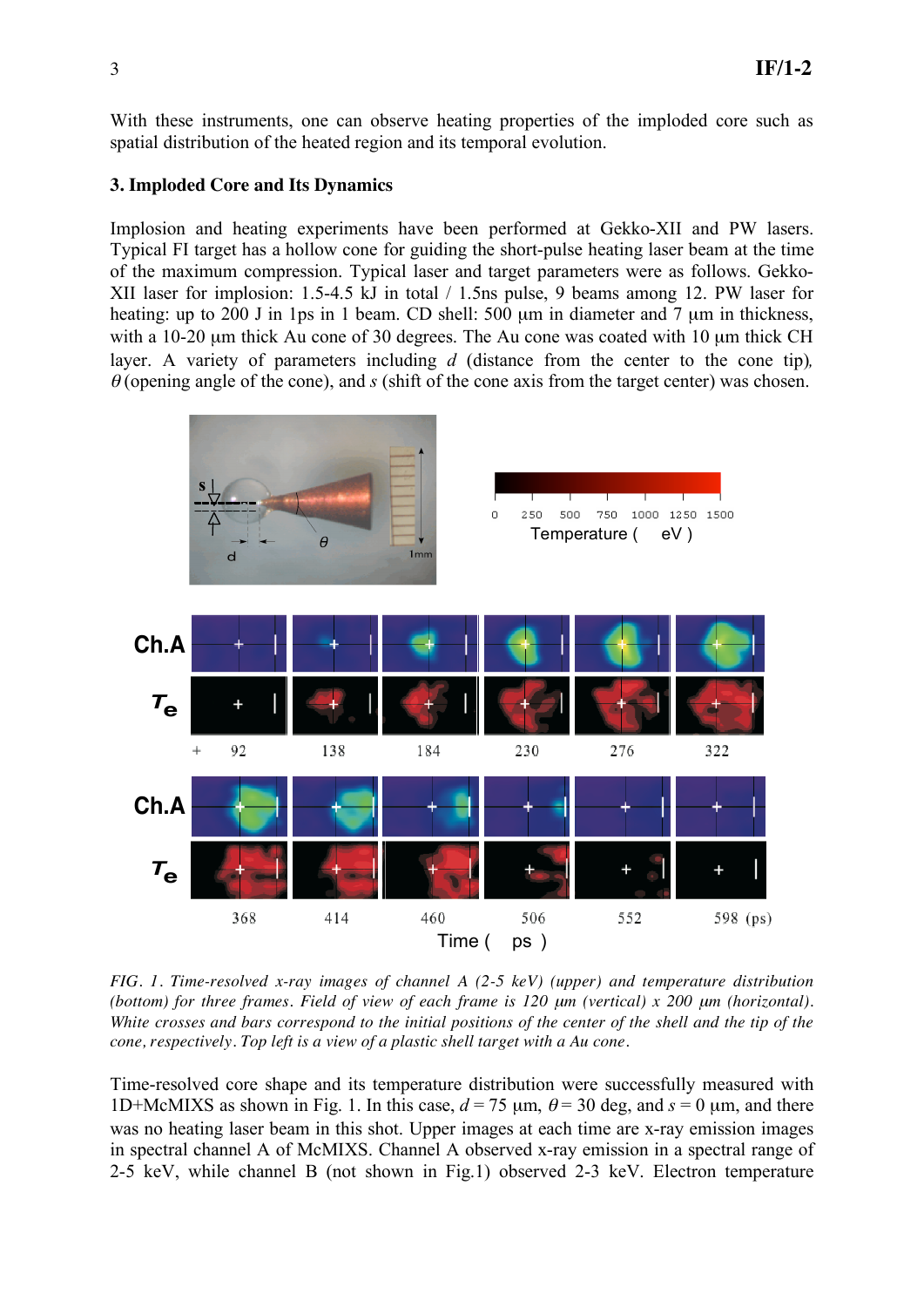With these instruments, one can observe heating properties of the imploded core such as spatial distribution of the heated region and its temporal evolution.

## **3. Imploded Core and Its Dynamics**

Implosion and heating experiments have been performed at Gekko-XII and PW lasers. Typical FI target has a hollow cone for guiding the short-pulse heating laser beam at the time of the maximum compression. Typical laser and target parameters were as follows. Gekko-XII laser for implosion: 1.5-4.5 kJ in total / 1.5ns pulse, 9 beams among 12. PW laser for heating: up to 200 J in 1ps in 1 beam. CD shell: 500 µm in diameter and 7 µm in thickness, with a 10-20 µm thick Au cone of 30 degrees. The Au cone was coated with 10 µm thick CH layer. A variety of parameters including *d* (distance from the center to the cone tip),  $\theta$  (opening angle of the cone), and *s* (shift of the cone axis from the target center) was chosen.



*FIG. 1. Time-resolved x-ray images of channel A (2-5 keV) (upper) and temperature distribution (bottom) for three frames. Field of view of each frame is 120*  $\mu$ *m (vertical) x 200*  $\mu$ *m (horizontal). White crosses and bars correspond to the initial positions of the center of the shell and the tip of the cone, respectively. Top left is a view of a plastic shell target with a Au cone.* 

Time-resolved core shape and its temperature distribution were successfully measured with 1D+McMIXS as shown in Fig. 1. In this case,  $d = 75 \mu m$ ,  $\theta = 30 \text{ deg}$ , and  $s = 0 \mu m$ , and there was no heating laser beam in this shot. Upper images at each time are x-ray emission images in spectral channel A of McMIXS. Channel A observed x-ray emission in a spectral range of 2-5 keV, while channel B (not shown in Fig.1) observed 2-3 keV. Electron temperature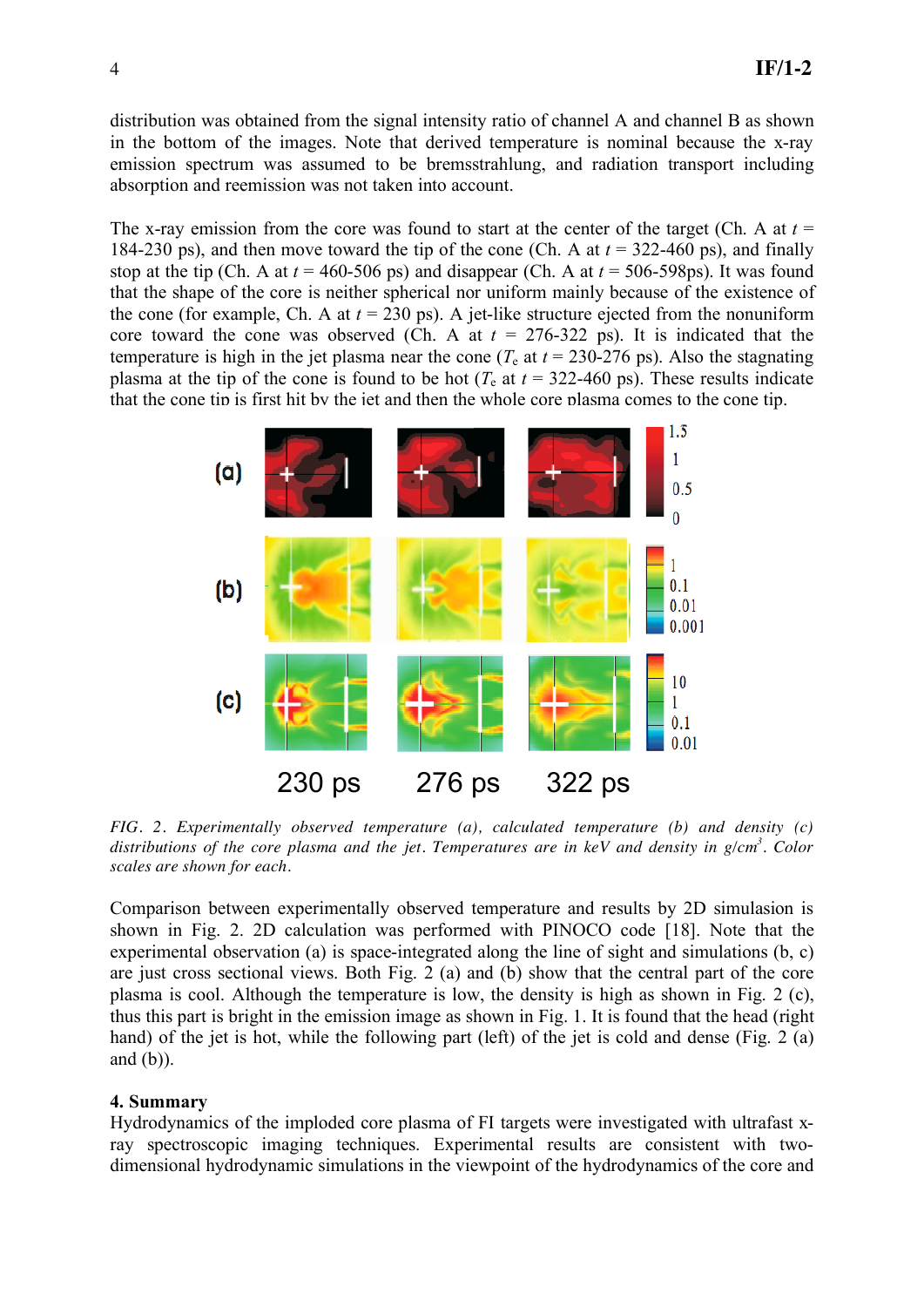distribution was obtained from the signal intensity ratio of channel A and channel B as shown in the bottom of the images. Note that derived temperature is nominal because the x-ray emission spectrum was assumed to be bremsstrahlung, and radiation transport including absorption and reemission was not taken into account.

The x-ray emission from the core was found to start at the center of the target (Ch. A at  $t =$ 184-230 ps), and then move toward the tip of the cone (Ch. A at *t* = 322-460 ps), and finally stop at the tip (Ch. A at  $t = 460-506$  ps) and disappear (Ch. A at  $t = 506-598$ ps). It was found that the shape of the core is neither spherical nor uniform mainly because of the existence of the cone (for example, Ch. A at  $t = 230$  ps). A jet-like structure ejected from the nonuniform core toward the cone was observed (Ch. A at  $t = 276-322$  ps). It is indicated that the temperature is high in the jet plasma near the cone ( $T_e$  at  $t = 230-276$  ps). Also the stagnating plasma at the tip of the cone is found to be hot ( $T_e$  at  $t = 322-460$  ps). These results indicate that the cone tip is first hit by the jet and then the whole core plasma comes to the cone tip.



*FIG. 2. Experimentally observed temperature (a), calculated temperature (b) and density (c) distributions of the core plasma and the jet. Temperatures are in keV and density in g/cm3 . Color scales are shown for each.* 

Comparison between experimentally observed temperature and results by 2D simulasion is shown in Fig. 2. 2D calculation was performed with PINOCO code [18]. Note that the experimental observation (a) is space-integrated along the line of sight and simulations (b, c) are just cross sectional views. Both Fig. 2 (a) and (b) show that the central part of the core plasma is cool. Although the temperature is low, the density is high as shown in Fig. 2 (c), thus this part is bright in the emission image as shown in Fig. 1. It is found that the head (right hand) of the jet is hot, while the following part (left) of the jet is cold and dense (Fig. 2 (a) and  $(b)$ ).

### **4. Summary**

Hydrodynamics of the imploded core plasma of FI targets were investigated with ultrafast xray spectroscopic imaging techniques. Experimental results are consistent with twodimensional hydrodynamic simulations in the viewpoint of the hydrodynamics of the core and